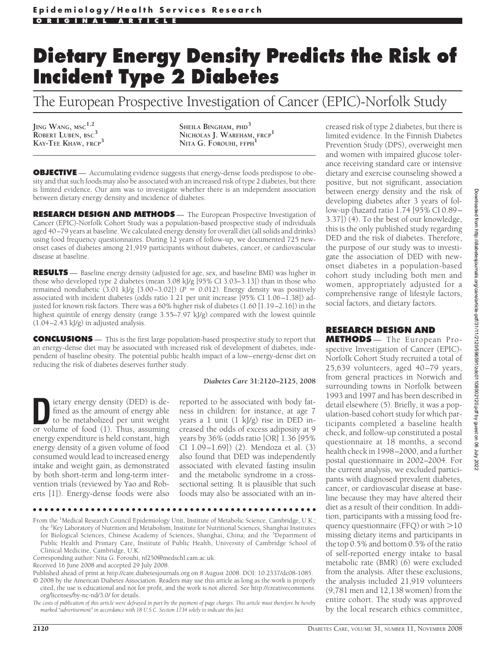# **Dietary Energy Density Predicts the Risk of Incident Type 2 Diabetes**

The European Prospective Investigation of Cancer (EPIC)-Norfolk Study

**JING WANG, MSC1,2 ROBERT LUBEN, BSC<sup>3</sup> KAY-TEE KHAW, FRCP<sup>3</sup>** **SHEILA BINGHAM, PHD<sup>3</sup> NICHOLAS J. WAREHAM, FRCP<sup>1</sup> NITA G. FOROUHI, FFPH<sup>1</sup>**

**OBJECTIVE** — Accumulating evidence suggests that energy-dense foods predispose to obesity and that such foods may also be associated with an increased risk of type 2 diabetes, but there is limited evidence. Our aim was to investigate whether there is an independent association between dietary energy density and incidence of diabetes.

**RESEARCH DESIGN AND METHODS** - The European Prospective Investigation of Cancer (EPIC)-Norfolk Cohort Study was a population-based prospective study of individuals aged 40–79 years at baseline. We calculated energy density for overall diet (all solids and drinks) using food frequency questionnaires. During 12 years of follow-up, we documented 725 newonset cases of diabetes among 21,919 participants without diabetes, cancer, or cardiovascular disease at baseline.

**RESULTS** — Baseline energy density (adjusted for age, sex, and baseline BMI) was higher in those who developed type 2 diabetes (mean 3.08 kJ/g [95% CI 3.03–3.13]) than in those who remained nondiabetic (3.01 kJ/g [3.00–3.02]) ( $P = 0.012$ ). Energy density was positively associated with incident diabetes (odds ratio 1.21 per unit increase [95% CI 1.06–1.38]) adjusted for known risk factors. There was a 60% higher risk of diabetes (1.60 [1.19–2.16]) in the highest quintile of energy density (range  $3.55-7.97$  kJ/g) compared with the lowest quintile  $(1.04 - 2.43 \text{ kJ/g})$  in adjusted analysis.

**CONCLUSIONS** — This is the first large population-based prospective study to report that an energy-dense diet may be associated with increased risk of development of diabetes, independent of baseline obesity. The potential public health impact of a low–energy-dense diet on reducing the risk of diabetes deserves further study.

#### *Diabetes Care* **31:2120–2125, 2008**

**D**<br>ietary energy density (DED) is de-<br>fined as the amount of energy able<br>to be metabolized per unit weight<br>or volume of food (1). Thus, assuming fined as the amount of energy able or volume of food (1). Thus, assuming energy expenditure is held constant, high energy density of a given volume of food consumed would lead to increased energy intake and weight gain, as demonstrated by both short-term and long-term intervention trials (reviewed by Yao and Roberts [1]). Energy-dense foods were also

reported to be associated with body fatness in children: for instance, at age 7 years a 1 unit (1 kJ/g) rise in DED increased the odds of excess adiposity at 9 years by 36% (odds ratio [OR] 1.36 [95% CI 1.09–1.69]) (2). Mendoza et al. (3) also found that DED was independently associated with elevated fasting insulin and the metabolic syndrome in a crosssectional setting. It is plausible that such foods may also be associated with an in-

●●●●●●●●●●●●●●●●●●●●●●●●●●●●●●●●●●●●●●●●●●●●●●●●●

From the <sup>1</sup>Medical Research Council Epidemiology Unit, Institute of Metabolic Science, Cambridge, U.K.; the <sup>2</sup>Key Laboratory of Nutrition and Metabolism, Institute for Nutritional Sciences, Shanghai Institutes for Biological Sciences, Chinese Academy of Sciences, Shanghai, China; and the <sup>3</sup>Department of Public Health and Primary Care, Institute of Public Health, University of Cambridge School of Clinical Medicine, Cambridge, U.K.

Corresponding author: Nita G. Forouhi, nf250@medschl.cam.ac.uk.

Published ahead of print at http://care.diabetesjournals.org on 8 August 2008. DOI: 10.2337/dc08-1085. © 2008 by the American Diabetes Association. Readers may use this article as long as the work is properly cited, the use is educational and not for profit, and the work is not altered. See http://creativecommons. org/licenses/by-nc-nd/3.0/ for details.

*The costs of publication of this article were defrayed in part by the payment of page charges. This article must therefore be hereby marked "advertisement" in accordance with 18 U.S.C. Section 1734 solely to indicate this fact.*

creased risk of type 2 diabetes, but there is limited evidence. In the Finnish Diabetes Prevention Study (DPS), overweight men and women with impaired glucose tolerance receiving standard care or intensive dietary and exercise counseling showed a positive, but not significant, association between energy density and the risk of developing diabetes after 3 years of follow-up (hazard ratio 1.74 [95% CI 0.89– 3.37]) (4). To the best of our knowledge, this is the only published study regarding DED and the risk of diabetes. Therefore, the purpose of our study was to investigate the association of DED with newonset diabetes in a population-based cohort study including both men and women, appropriately adjusted for a comprehensive range of lifestyle factors, social factors, and dietary factors.

# **RESEARCH DESIGN AND**

**METHODS** — The European Prospective Investigation of Cancer (EPIC)- Norfolk Cohort Study recruited a total of 25,639 volunteers, aged 40–79 years, from general practices in Norwich and surrounding towns in Norfolk between 1993 and 1997 and has been described in detail elsewhere (5). Briefly, it was a population-based cohort study for which participants completed a baseline health check, and follow-up constituted a postal questionnaire at 18 months, a second health check in 1998–2000, and a further postal questionnaire in 2002–2004. For the current analysis, we excluded participants with diagnosed prevalent diabetes, cancer, or cardiovascular disease at baseline because they may have altered their diet as a result of their condition. In addition, participants with a missing food frequency questionnaire (FFQ) or with  $>$  10 missing dietary items and participants in the top 0.5% and bottom 0.5% of the ratio of self-reported energy intake to basal metabolic rate (BMR) (6) were excluded from the analysis. After these exclusions, the analysis included 21,919 volunteers (9,781 men and 12,138 women) from the entire cohort. The study was approved by the local research ethics committee,

Received 16 June 2008 and accepted 29 July 2008.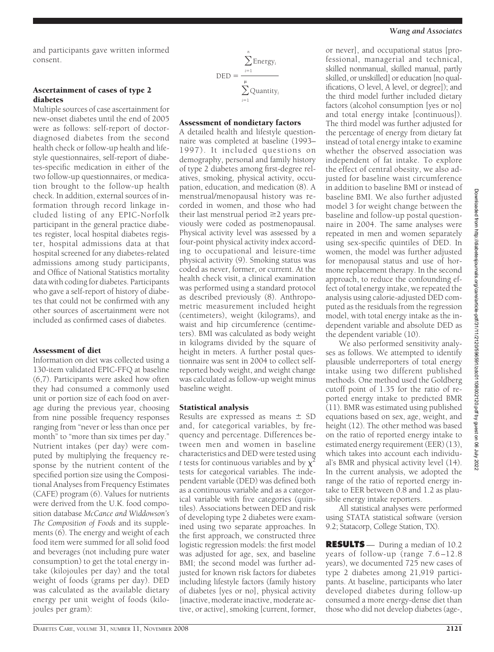#### Ascertainment of cases of type 2 diabetes

Multiple sources of case ascertainment for new-onset diabetes until the end of 2005 were as follows: self-report of doctordiagnosed diabetes from the second health check or follow-up health and lifestyle questionnaires, self-report of diabetes-specific medication in either of the two follow-up questionnaires, or medication brought to the follow-up health check. In addition, external sources of information through record linkage included listing of any EPIC-Norfolk participant in the general practice diabetes register, local hospital diabetes register, hospital admissions data at that hospital screened for any diabetes-related admissions among study participants, and Office of National Statistics mortality data with coding for diabetes. Participants who gave a self-report of history of diabetes that could not be confirmed with any other sources of ascertainment were not included as confirmed cases of diabetes.

# Assessment of diet

Information on diet was collected using a 130-item validated EPIC-FFQ at baseline (6,7). Participants were asked how often they had consumed a commonly used unit or portion size of each food on average during the previous year, choosing from nine possible frequency responses ranging from "never or less than once per month" to "more than six times per day." Nutrient intakes (per day) were computed by multiplying the frequency response by the nutrient content of the specified portion size using the Compositional Analyses from Frequency Estimates (CAFE) program (6). Values for nutrients were derived from the U.K. food composition database *McCance and Widdowson's The Composition of Foods* and its supplements (6). The energy and weight of each food item were summed for all solid food and beverages (not including pure water consumption) to get the total energy intake (kilojoules per day) and the total weight of foods (grams per day). DED was calculated as the available dietary energy per unit weight of foods (kilojoules per gram):

$$
DED = \frac{\sum_{i=1}^{n}Energy_i}{\sum_{i=1}^{n}Quantity_i}
$$

# Assessment of nondietary factors

A detailed health and lifestyle questionnaire was completed at baseline (1993– 1997). It included questions on demography, personal and family history of type 2 diabetes among first-degree relatives, smoking, physical activity, occupation, education, and medication (8). A menstrual/menopausal history was recorded in women, and those who had their last menstrual period  $\geq$ 2 years previously were coded as postmenopausal. Physical activity level was assessed by a four-point physical activity index according to occupational and leisure-time physical activity (9). Smoking status was coded as never, former, or current. At the health check visit, a clinical examination was performed using a standard protocol as described previously (8). Anthropometric measurement included height (centimeters), weight (kilograms), and waist and hip circumference (centimeters). BMI was calculated as body weight in kilograms divided by the square of height in meters. A further postal questionnaire was sent in 2004 to collect selfreported body weight, and weight change was calculated as follow-up weight minus baseline weight.

# Statistical analysis

Results are expressed as means  $\pm$  SD and, for categorical variables, by frequency and percentage. Differences between men and women in baseline characteristics and DED were tested using *t* tests for continuous variables and by  $\chi^2$ tests for categorical variables. The independent variable (DED) was defined both as a continuous variable and as a categorical variable with five categories (quintiles). Associations between DED and risk of developing type 2 diabetes were examined using two separate approaches. In the first approach, we constructed three logistic regression models: the first model was adjusted for age, sex, and baseline BMI; the second model was further adjusted for known risk factors for diabetes including lifestyle factors (family history of diabetes [yes or no], physical activity [inactive, moderate inactive, moderate active, or active], smoking [current, former,

or never], and occupational status [professional, managerial and technical, skilled nonmanual, skilled manual, partly skilled, or unskilled] or education [no qualifications, O level, A level, or degree]); and the third model further included dietary factors (alcohol consumption [yes or no] and total energy intake [continuous]). The third model was further adjusted for the percentage of energy from dietary fat instead of total energy intake to examine whether the observed association was independent of fat intake. To explore the effect of central obesity, we also adjusted for baseline waist circumference in addition to baseline BMI or instead of baseline BMI. We also further adjusted model 3 for weight change between the baseline and follow-up postal questionnaire in 2004. The same analyses were repeated in men and women separately using sex-specific quintiles of DED. In women, the model was further adjusted for menopausal status and use of hormone replacement therapy. In the second approach, to reduce the confounding effect of total energy intake, we repeated the analysis using calorie-adjusted DED computed as the residuals from the regression model, with total energy intake as the independent variable and absolute DED as the dependent variable (10).

We also performed sensitivity analyses as follows. We attempted to identify plausible underreporters of total energy intake using two different published methods. One method used the Goldberg cutoff point of 1.35 for the ratio of reported energy intake to predicted BMR (11). BMR was estimated using published equations based on sex, age, weight, and height (12). The other method was based on the ratio of reported energy intake to estimated energy requirement (EER) (13), which takes into account each individual's BMR and physical activity level (14). In the current analysis, we adopted the range of the ratio of reported energy intake to EER between 0.8 and 1.2 as plausible energy intake reporters.

All statistical analyses were performed using STATA statistical software (version 9.2; Statacorp, College Station, TX).

**RESULTS** — During a median of 10.2 years of follow-up (range 7.6–12.8 years), we documented 725 new cases of type 2 diabetes among 21,919 participants. At baseline, participants who later developed diabetes during follow-up consumed a more energy-dense diet than those who did not develop diabetes (age-,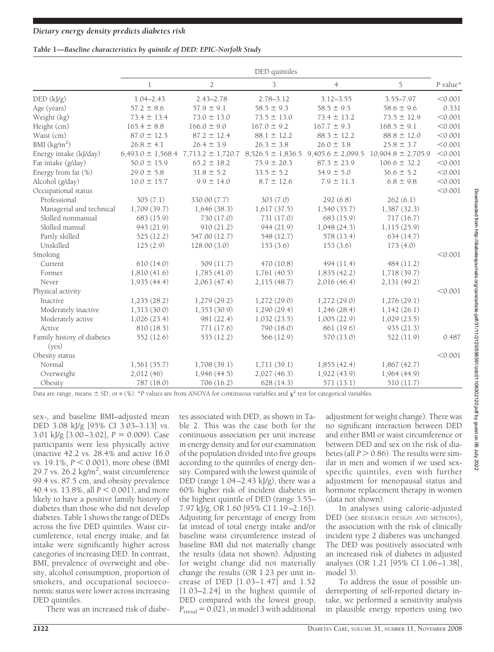#### **Table 1—***Baseline characteristics by quintile of DED: EPIC-Norfolk Study*

|                            | DED quintiles   |                                             |                       |                       |                        |            |
|----------------------------|-----------------|---------------------------------------------|-----------------------|-----------------------|------------------------|------------|
|                            | 1               | $\overline{2}$                              | 3                     | $\overline{4}$        | 5                      | $P$ value* |
| DED (kJ/g)                 | $1.04 - 2.43$   | $2.43 - 2.78$                               | $2.78 - 3.12$         | $3.12 - 3.55$         | $3.55 - 7.97$          | < 0.001    |
| Age (years)                | $57.2 \pm 8.6$  | $57.9 \pm 9.1$                              | $58.5 \pm 9.3$        | $58.5 \pm 9.5$        | $58.6 \pm 9.6$         | 0.331      |
| Weight (kg)                | $73.4 \pm 13.4$ | $73.0 \pm 13.0$                             | $73.5 \pm 13.0$       | $73.4 \pm 13.2$       | $73.5 \pm 12.9$        | < 0.001    |
| Height (cm)                | $165.4 \pm 8.8$ | $166.0 \pm 9.0$                             | $167.0 \pm 9.2$       | $167.7 \pm 9.3$       | $168.5 \pm 9.1$        | < 0.001    |
| Waist (cm)                 | $87.0 \pm 12.5$ | $87.2 \pm 12.4$                             | $88.1 \pm 12.2$       | $88.3 \pm 12.2$       | $88.8 \pm 12.0$        | < 0.001    |
| BMI $(kg/m2)$              | $26.8 \pm 4.1$  | $26.4 \pm 3.9$                              | $26.3 \pm 3.8$        | $26.0 \pm 3.8$        | $25.8 \pm 3.7$         | < 0.001    |
| Energy intake (kJ/day)     |                 | $6,493.0 \pm 1,568.4$ 7,713.2 $\pm$ 1,720.7 | $8,526.5 \pm 1,836.5$ | $9,405.6 \pm 2,099.5$ | $10,904.8 \pm 2,705.9$ | < 0.001    |
| Fat intake (g/day)         | $50.0 \pm 15.9$ | $65.2 \pm 18.2$                             | $75.9 \pm 20.3$       | $87.3 \pm 23.9$       | $106.6 \pm 32.2$       | < 0.001    |
| Energy from fat (%)        | $29.0 \pm 5.8$  | $31.8 \pm 5.2$                              | $33.5 \pm 5.2$        | $34.9 \pm 5.0$        | $36.6 \pm 5.2$         | < 0.001    |
| Alcohol (g/day)            | $10.0 \pm 15.7$ | $9.9 \pm 14.0$                              | $8.7 \pm 12.6$        | $7.9 \pm 11.3$        | $6.8 \pm 9.8$          | < 0.001    |
| Occupational status        |                 |                                             |                       |                       |                        | < 0.001    |
| Professional               | 305(7.1)        | 330.00 (7.7)                                | 303(7.0)              | 292(6.8)              | 262(6.1)               |            |
| Managerial and technical   | 1,709(39.7)     | 1,646(38.3)                                 | 1,617(37.5)           | 1,540(35.7)           | 1,387(32.3)            |            |
| Skilled nonmanual          | 683 (15.9)      | 730 (17.0)                                  | 731 (17.0)            | 683 (15.9)            | 717(16.7)              |            |
| Skilled manual             | 943 (21.9)      | 910(21.2)                                   | 944 (21.9)            | 1,048(24.3)           | 1,115(25.9)            |            |
| Partly skilled             | 525(12.2)       | 547.00 (12.7)                               | 548 (12.7)            | 578 (13.4)            | 634(14.7)              |            |
| Unskilled                  | 125(2.9)        | 128.00(3.0)                                 | 153(3.6)              | 153(3.6)              | 173(4.0)               |            |
| Smoking                    |                 |                                             |                       |                       |                        | < 0.001    |
| Current                    | 610(14.0)       | 509 (11.7)                                  | 470 (10.8)            | 494 (11.4)            | 484 (11.2)             |            |
| Former                     | 1,810(41.6)     | 1,785(41.0)                                 | 1,761(40.5)           | 1,835(42.2)           | 1,718 (39.7)           |            |
| Never                      | 1,935(44.4)     | 2,063(47.4)                                 | 2,115(48.7)           | 2,016(46.4)           | 2,131 (49.2)           |            |
| Physical activity          |                 |                                             |                       |                       |                        | < 0.001    |
| Inactive                   | 1,235 (28.2)    | 1,279 (29.2)                                | 1,272(29.0)           | 1,272 (29.0)          | 1,276(29.1)            |            |
| Moderately inactive        | 1,313(30.0)     | 1,353(30.9)                                 | 1,290(29.4)           | 1,246(28.4)           | 1,142(26.1)            |            |
| Moderately active          | 1,026(23.4)     | 981 (22.4)                                  | 1,032(23.5)           | 1,005(22.9)           | 1,029(23.5)            |            |
| Active                     | 810 (18.5)      | 771 (17.6)                                  | 790 (18.0)            | 861 (19.6)            | 935(21.3)              |            |
| Family history of diabetes | 552 (12.6)      | 535 (12.2)                                  | 566 (12.9)            | 570 (13.0)            | 522 (11.9)             | 0.487      |
| (yes)                      |                 |                                             |                       |                       |                        |            |
| Obesity status             |                 |                                             |                       |                       |                        | < 0.001    |
| Normal                     | 1,561(35.7)     | 1,708(39.1)                                 | 1,711(39.1)           | 1,855(42.4)           | 1,867(42.7)            |            |
| Overweight                 | 2,012(46)       | 1,946(44.5)                                 | 2,027(46.3)           | 1,922(43.9)           | 1,964(44.9)            |            |
| Obesity                    | 787 (18.0)      | 706 (16.2)                                  | 628(14.3)             | 571 (13.1)            | 510 (11.7)             |            |

Data are range, means  $\pm$  SD, or *n* (%). \**P* values are from ANOVA for continuous variables and  $\chi^2$  test for categorical variables.

sex-, and baseline BMI–adjusted mean DED 3.08 kJ/g [95% CI 3.03–3.13] vs. 3.01 kJ/g  $[3.00 - 3.02]$ ,  $P = 0.009$ ). Case participants were less physically active (inactive 42.2 vs. 28.4% and active 16.0 vs.  $19.1\%$ ,  $P < 0.001$ ), more obese (BMI 29.7 vs. 26.2 kg/m<sup>2</sup>, waist circumference 99.4 vs. 87.5 cm, and obesity prevalence 40.4 vs. 13.8%, all  $P \le 0.001$ , and more likely to have a positive family history of diabetes than those who did not develop diabetes. Table 1 shows the range of DEDs across the five DED quintiles. Waist circumference, total energy intake, and fat intake were significantly higher across categories of increasing DED. In contrast, BMI, prevalence of overweight and obesity, alcohol consumption, proportion of smokers, and occupational socioeconomic status were lower across increasing DED quintiles.

There was an increased risk of diabe-

tes associated with DED, as shown in Table 2. This was the case both for the continuous association per unit increase in energy density and for our examination of the population divided into five groups according to the quintiles of energy density. Compared with the lowest quintile of DED (range 1.04–2.43 kJ/g), there was a 60% higher risk of incident diabetes in the highest quintile of DED (range 3.55– 7.97 kJ/g, OR 1.60 [95% CI 1.19–2.16]). Adjusting for percentage of energy from fat instead of total energy intake and/or baseline waist circumference instead of baseline BMI did not materially change the results (data not shown). Adjusting for weight change did not materially change the results (OR 1.23 per unit increase of DED [1.03–1.47] and 1.52 [1.03–2.24] in the highest quintile of DED compared with the lowest group,  $P_{\text{trend}} = 0.021$ , in model 3 with additional

adjustment for weight change). There was no significant interaction between DED and either BMI or waist circumference or between DED and sex on the risk of diabetes (all  $P > 0.86$ ). The results were similar in men and women if we used sexspecific quintiles, even with further adjustment for menopausal status and hormone replacement therapy in women (data not shown).

In analyses using calorie-adjusted DED (see RESEARCH DESIGN AND METHODS), the association with the risk of clinically incident type 2 diabetes was unchanged. The DED was positively associated with an increased risk of diabetes in adjusted analyses (OR 1.21 [95% CI 1.06–1.38], model 3).

To address the issue of possible underreporting of self-reported dietary intake, we performed a sensitivity analysis in plausible energy reporters using two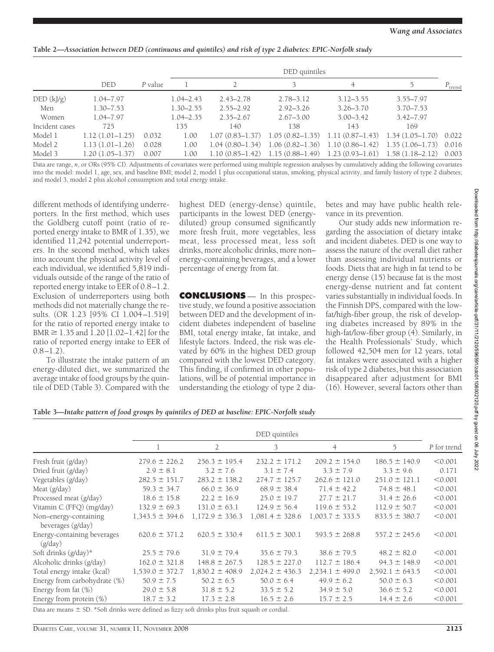# **Table 2—***Association between DED (continuous and quintiles) and risk of type 2 diabetes: EPIC-Norfolk study*

|                | DED quintiles     |         |               |               |                                                                               |               |                                           |                    |
|----------------|-------------------|---------|---------------|---------------|-------------------------------------------------------------------------------|---------------|-------------------------------------------|--------------------|
|                | <b>DED</b>        | P value |               |               |                                                                               | 4             |                                           | $P_{\text{trend}}$ |
| DED (kJ/g)     | 1.04-7.97         |         | $1.04 - 2.43$ | $2.43 - 2.78$ | $2.78 - 3.12$                                                                 | $3.12 - 3.55$ | $3.55 - 7.97$                             |                    |
| Men            | $1.30 - 7.53$     |         | $1.30 - 2.55$ | $2.55 - 2.92$ | $2.92 - 3.26$                                                                 | $3.26 - 3.70$ | $3.70 - 7.53$                             |                    |
| Women          | 1.04-7.97         |         | $1.04 - 2.35$ | $2.35 - 2.67$ | $2.67 - 3.00$                                                                 | $3.00 - 3.42$ | $3.42 - 7.97$                             |                    |
| Incident cases | 725               |         | 135           | 140           | 138                                                                           | 143           | 169                                       |                    |
| Model 1        | $1.12(1.01-1.25)$ | 0.032   | 1.00          |               | $1.07(0.83-1.37)$ $1.05(0.82-1.35)$ $1.11(0.87-1.43)$ $1.34(1.05-1.70)$ 0.022 |               |                                           |                    |
| Model 2        | $1.13(1.01-1.26)$ | 0.028   | 1.00          |               | $1.04(0.80-1.34)$ $1.06(0.82-1.36)$                                           |               | $1.10(0.86-1.42)$ $1.35(1.06-1.73)$ 0.016 |                    |
| Model 3        | $1.20(1.05-1.37)$ | 0.007   | 1.00          |               | $1.10(0.85-1.42)$ $1.15(0.88-1.49)$ $1.23(0.93-1.61)$ $1.58(1.18-2.12)$ 0.003 |               |                                           |                    |

Data are range, *n*, or ORs (95% CI). Adjustments of covariates were performed using multiple regression analyses by cumulatively adding the following covariates into the model: model 1, age, sex, and baseline BMI; model 2, model 1 plus occupational status, smoking, physical activity, and family history of type 2 diabetes; and model 3, model 2 plus alcohol consumption and total energy intake.

different methods of identifying underreporters. In the first method, which uses the Goldberg cutoff point (ratio of reported energy intake to BMR of 1.35), we identified 11,242 potential underreporters. In the second method, which takes into account the physical activity level of each individual, we identified 5,819 individuals outside of the range of the ratio of reported energy intake to EER of 0.8–1.2. Exclusion of underreporters using both methods did not materially change the results. (OR 1.23 [95% CI 1.004–1.519] for the ratio of reported energy intake to  $BMR \ge 1.35$  and  $1.20$  [1.02–1.42] for the ratio of reported energy intake to EER of  $0.8 - 1.2$ ).

To illustrate the intake pattern of an energy-diluted diet, we summarized the average intake of food groups by the quintile of DED (Table 3). Compared with the highest DED (energy-dense) quintile, participants in the lowest DED (energydiluted) group consumed significantly more fresh fruit, more vegetables, less meat, less processed meat, less soft drinks, more alcoholic drinks, more non– energy-containing beverages, and a lower percentage of energy from fat.

**CONCLUSIONS** — In this prospective study, we found a positive association between DED and the development of incident diabetes independent of baseline BMI, total energy intake, fat intake, and lifestyle factors. Indeed, the risk was elevated by 60% in the highest DED group compared with the lowest DED category. This finding, if confirmed in other populations, will be of potential importance in understanding the etiology of type 2 dia-

betes and may have public health relevance in its prevention.

Our study adds new information regarding the association of dietary intake and incident diabetes. DED is one way to assess the nature of the overall diet rather than assessing individual nutrients or foods. Diets that are high in fat tend to be energy dense (15) because fat is the most energy-dense nutrient and fat content varies substantially in individual foods. In the Finnish DPS, compared with the lowfat/high-fiber group, the risk of developing diabetes increased by 89% in the high-fat/low-fiber group (4). Similarly, in the Health Professionals' Study, which followed 42,504 men for 12 years, total fat intakes were associated with a higher risk of type 2 diabetes, but this association disappeared after adjustment for BMI (16). However, several factors other than

#### **Table 3—***Intake pattern of food groups by quintiles of DED at baseline: EPIC-Norfolk study*

|                                            | DED quintiles       |                     |                     |                     |                     |             |
|--------------------------------------------|---------------------|---------------------|---------------------|---------------------|---------------------|-------------|
|                                            |                     | 2                   | 3                   | $\overline{4}$      | 5                   | P for trend |
| Fresh fruit (g/day)                        | $279.6 \pm 226.2$   | $256.3 \pm 195.4$   | $232.2 \pm 171.2$   | $209.2 \pm 154.0$   | $186.5 \pm 140.9$   | < 0.001     |
| Dried fruit (g/day)                        | $2.9 \pm 8.1$       | $3.2 \pm 7.6$       | $3.1 \pm 7.4$       | $3.3 \pm 7.9$       | $3.3 \pm 9.6$       | 0.171       |
| Vegetables (g/day)                         | $282.5 \pm 151.7$   | $283.2 \pm 138.2$   | $274.7 \pm 125.7$   | $262.6 \pm 121.0$   | $251.0 \pm 121.1$   | < 0.001     |
| Meat (g/day)                               | $59.3 \pm 34.7$     | $66.0 \pm 36.9$     | $68.9 \pm 38.4$     | $71.4 \pm 42.2$     | $74.8 \pm 48.1$     | < 0.001     |
| Processed meat (g/day)                     | $18.6 \pm 15.8$     | $22.2 \pm 16.9$     | $25.0 \pm 19.7$     | $27.7 \pm 21.7$     | $31.4 \pm 26.6$     | < 0.001     |
| Vitamin C (FFQ) (mg/day)                   | $132.9 \pm 69.3$    | $131.0 \pm 63.1$    | $124.9 \pm 56.4$    | $119.6 \pm 53.2$    | $112.9 \pm 50.7$    | < 0.001     |
| Non-energy-containing<br>beverages (g/day) | $1,343.5 \pm 394.6$ | $1,172.9 \pm 336.3$ | $1,081.4 \pm 328.6$ | $1,003.7 \pm 333.5$ | $833.5 \pm 380.7$   | < 0.001     |
| Energy-containing beverages<br>(g/day)     | $620.6 \pm 371.2$   | $620.5 \pm 330.4$   | $611.5 \pm 300.1$   | $593.5 \pm 268.8$   | $557.2 \pm 245.6$   | < 0.001     |
| Soft drinks $(g/day)*$                     | $25.5 \pm 79.6$     | $31.9 \pm 79.4$     | $35.6 \pm 79.3$     | $38.6 \pm 79.5$     | $48.2 \pm 82.0$     | < 0.001     |
| Alcoholic drinks (g/day)                   | $162.0 \pm 321.8$   | $148.8 \pm 267.5$   | $128.5 \pm 227.0$   | $112.7 \pm 186.4$   | $94.3 \pm 148.9$    | < 0.001     |
| Total energy intake (kcal)                 | $1,539.0 \pm 372.7$ | $1,830.2 \pm 408.9$ | $2,024.2 \pm 436.3$ | $2,234.1 \pm 499.0$ | $2,592.1 \pm 643.5$ | < 0.001     |
| Energy from carbohydrate (%)               | $50.9 \pm 7.5$      | $50.2 \pm 6.5$      | $50.0 \pm 6.4$      | $49.9 \pm 6.2$      | $50.0 \pm 6.3$      | < 0.001     |
| Energy from fat $(\%)$                     | $29.0 \pm 5.8$      | $31.8 \pm 5.2$      | $33.5 \pm 5.2$      | $34.9 \pm 5.0$      | $36.6 \pm 5.2$      | < 0.001     |
| Energy from protein $(\%)$                 | $18.7 \pm 3.2$      | $17.3 \pm 2.8$      | $16.5 \pm 2.6$      | $15.7 \pm 2.5$      | $14.4 \pm 2.6$      | < 0.001     |
|                                            |                     |                     |                     |                     |                     |             |

Data are means  $\pm$  SD. \*Soft drinks were defined as fizzy soft drinks plus fruit squash or cordial.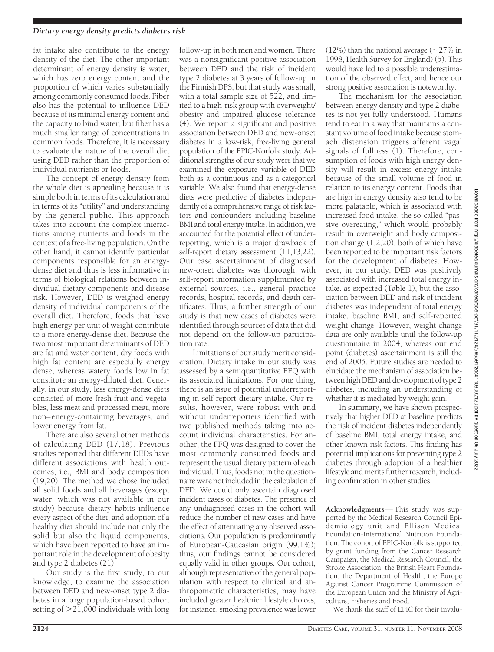#### *Dietary energy density predicts diabetes risk*

fat intake also contribute to the energy density of the diet. The other important determinant of energy density is water, which has zero energy content and the proportion of which varies substantially among commonly consumed foods. Fiber also has the potential to influence DED because of its minimal energy content and the capacity to bind water, but fiber has a much smaller range of concentrations in common foods. Therefore, it is necessary to evaluate the nature of the overall diet using DED rather than the proportion of individual nutrients or foods.

The concept of energy density from the whole diet is appealing because it is simple both in terms of its calculation and in terms of its "utility" and understanding by the general public. This approach takes into account the complex interactions among nutrients and foods in the context of a free-living population. On the other hand, it cannot identify particular components responsible for an energydense diet and thus is less informative in terms of biological relations between individual dietary components and disease risk. However, DED is weighed energy density of individual components of the overall diet. Therefore, foods that have high energy per unit of weight contribute to a more energy-dense diet. Because the two most important determinants of DED are fat and water content, dry foods with high fat content are especially energy dense, whereas watery foods low in fat constitute an energy-diluted diet. Generally, in our study, less energy-dense diets consisted of more fresh fruit and vegetables, less meat and processed meat, more non–energy-containing beverages, and lower energy from fat.

There are also several other methods of calculating DED (17,18). Previous studies reported that different DEDs have different associations with health outcomes, i.e., BMI and body composition (19,20). The method we chose included all solid foods and all beverages (except water, which was not available in our study) because dietary habits influence every aspect of the diet, and adoption of a healthy diet should include not only the solid but also the liquid components, which have been reported to have an important role in the development of obesity and type 2 diabetes (21).

Our study is the first study, to our knowledge, to examine the association between DED and new-onset type 2 diabetes in a large population-based cohort setting of  $>$ 21,000 individuals with long

follow-up in both men and women. There was a nonsignificant positive association between DED and the risk of incident type 2 diabetes at 3 years of follow-up in the Finnish DPS, but that study was small, with a total sample size of 522, and limited to a high-risk group with overweight/ obesity and impaired glucose tolerance (4). We report a significant and positive association between DED and new-onset diabetes in a low-risk, free-living general population of the EPIC-Norfolk study. Additional strengths of our study were that we examined the exposure variable of DED both as a continuous and as a categorical variable. We also found that energy-dense diets were predictive of diabetes independently of a comprehensive range of risk factors and confounders including baseline BMI and total energy intake. In addition, we accounted for the potential effect of underreporting, which is a major drawback of self-report dietary assessment (11,13,22). Our case ascertainment of diagnosed new-onset diabetes was thorough, with self-report information supplemented by external sources, i.e., general practice records, hospital records, and death certificates. Thus, a further strength of our study is that new cases of diabetes were identified through sources of data that did not depend on the follow-up participation rate.

Limitations of our study merit consideration. Dietary intake in our study was assessed by a semiquantitative FFQ with its associated limitations. For one thing, there is an issue of potential underreporting in self-report dietary intake. Our results, however, were robust with and without underreporters identified with two published methods taking into account individual characteristics. For another, the FFQ was designed to cover the most commonly consumed foods and represent the usual dietary pattern of each individual. Thus, foods not in the questionnaire were not included in the calculation of DED. We could only ascertain diagnosed incident cases of diabetes. The presence of any undiagnosed cases in the cohort will reduce the number of new cases and have the effect of attenuating any observed associations. Our population is predominantly of European-Caucasian origin (99.1%); thus, our findings cannot be considered equally valid in other groups. Our cohort, although representative of the general population with respect to clinical and anthropometric characteristics, may have included greater healthier lifestyle choices; for instance, smoking prevalence was lower

(12%) than the national average ( $\sim$ 27% in 1998, Health Survey for England) (5). This would have led to a possible underestimation of the observed effect, and hence our strong positive association is noteworthy.

The mechanism for the association between energy density and type 2 diabetes is not yet fully understood. Humans tend to eat in a way that maintains a constant volume of food intake because stomach distension triggers afferent vagal signals of fullness  $(1)$ . Therefore, consumption of foods with high energy density will result in excess energy intake because of the small volume of food in relation to its energy content. Foods that are high in energy density also tend to be more palatable, which is associated with increased food intake, the so-called "passive overeating," which would probably result in overweight and body composition change (1,2,20), both of which have been reported to be important risk factors for the development of diabetes. However, in our study, DED was positively associated with increased total energy intake, as expected (Table 1), but the association between DED and risk of incident diabetes was independent of total energy intake, baseline BMI, and self-reported weight change. However, weight change data are only available until the follow-up questionnaire in 2004, whereas our end point (diabetes) ascertainment is still the end of 2005. Future studies are needed to elucidate the mechanism of association between high DED and development of type 2 diabetes, including an understanding of whether it is mediated by weight gain.

In summary, we have shown prospectively that higher DED at baseline predicts the risk of incident diabetes independently of baseline BMI, total energy intake, and other known risk factors. This finding has potential implications for preventing type 2 diabetes through adoption of a healthier lifestyle and merits further research, including confirmation in other studies.

**Acknowledgments**— This study was supported by the Medical Research Council Epidemiology unit and Ellison Medical Foundation-International Nutrition Foundation. The cohort of EPIC-Norfolk is supported by grant funding from the Cancer Research Campaign, the Medical Research Council, the Stroke Association, the British Heart Foundation, the Department of Health, the Europe Against Cancer Programme Commission of the European Union and the Ministry of Agriculture, Fisheries and Food.

We thank the staff of EPIC for their invalu-